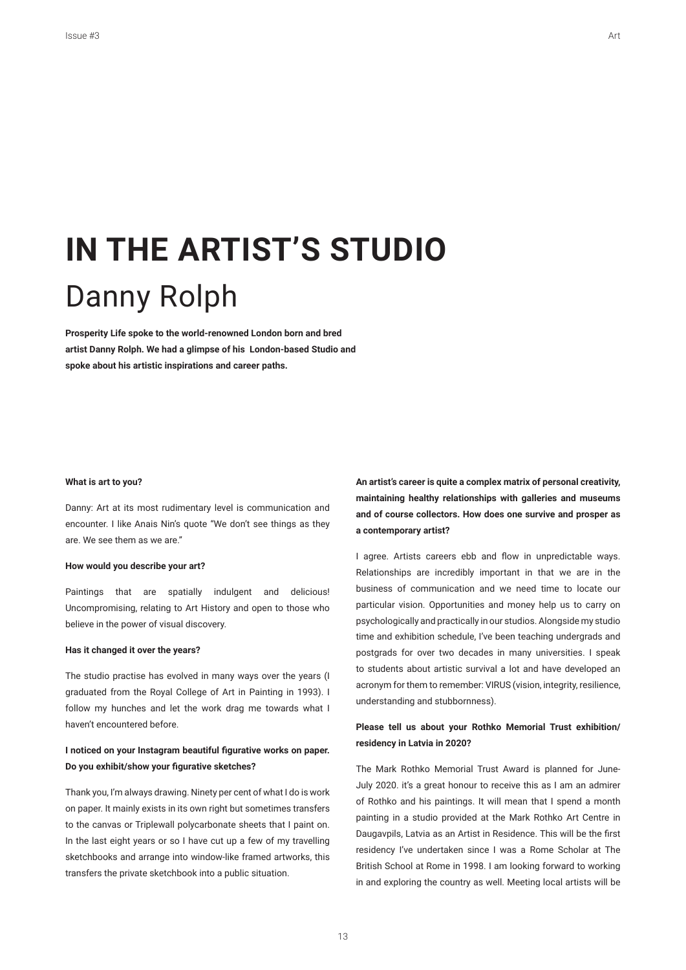# **IN THE ARTIST'S STUDIO** Danny Rolph

Prosperity Life spoke to the world-renowned London born and bred **artist Danny Rolph. We had a glimpse of his London-based Studio and**  spoke about his artistic inspirations and career paths.

#### **What is art to you?**

Danny: Art at its most rudimentary level is communication and encounter. I like Anais Nin's quote "We don't see things as they are. We see them as we are."

## **How would you describe your art?**

Paintings that are spatially indulgent and delicious! Uncompromising, relating to Art History and open to those who believe in the power of visual discovery.

## **Has it changed it over the years?**

The studio practise has evolved in many ways over the years (I graduated from the Royal College of Art in Painting in 1993). I follow my hunches and let the work drag me towards what I haven't encountered before.

## I noticed on your Instagram beautiful figurative works on paper. Do you exhibit/show your figurative sketches?

Thank you, I'm always drawing. Ninety per cent of what I do is work on paper. It mainly exists in its own right but sometimes transfers to the canvas or Triplewall polycarbonate sheets that I paint on. In the last eight years or so I have cut up a few of my travelling sketchbooks and arrange into window-like framed artworks, this transfers the private sketchbook into a public situation.

**An artist's career is quite a complex matrix of personal creativity, maintaining healthy relationships with galleries and museums and of course collectors. How does one survive and prosper as a contemporary artist?**

I agree. Artists careers ebb and flow in unpredictable ways. Relationships are incredibly important in that we are in the business of communication and we need time to locate our particular vision. Opportunities and money help us to carry on psychologically and practically in our studios. Alongside my studio time and exhibition schedule, I've been teaching undergrads and postgrads for over two decades in many universities. I speak to students about artistic survival a lot and have developed an acronym for them to remember: VIRUS (vision, integrity, resilience, understanding and stubbornness).

## Please tell us about your Rothko Memorial Trust exhibition/ **residency in Latvia in 2020?**

The Mark Rothko Memorial Trust Award is planned for June-July 2020. it's a great honour to receive this as I am an admirer of Rothko and his paintings. It will mean that I spend a month painting in a studio provided at the Mark Rothko Art Centre in Daugavpils, Latvia as an Artist in Residence. This will be the frst residency I've undertaken since I was a Rome Scholar at The British School at Rome in 1998. I am looking forward to working in and exploring the country as well. Meeting local artists will be